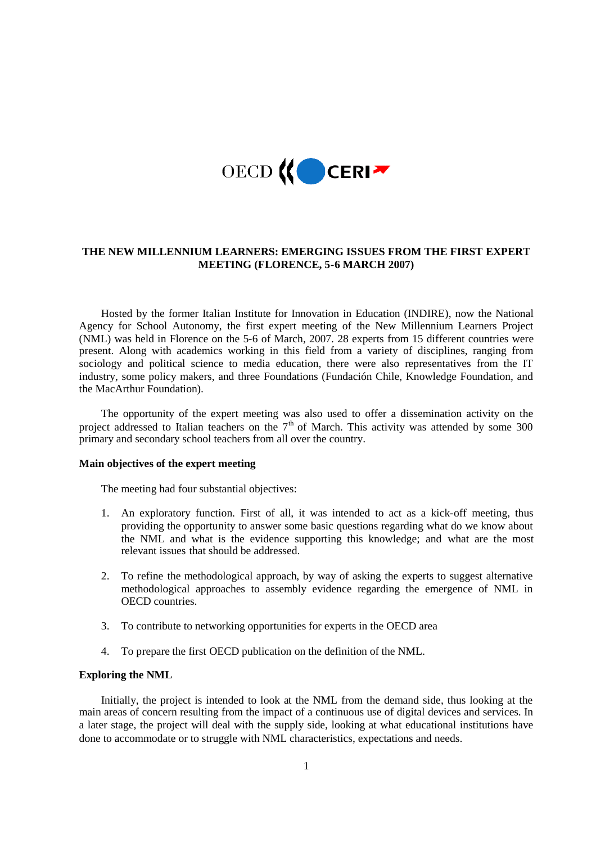

# **THE NEW MILLENNIUM LEARNERS: EMERGING ISSUES FROM THE FIRST EXPERT MEETING (FLORENCE, 5-6 MARCH 2007)**

Hosted by the former Italian Institute for Innovation in Education (INDIRE), now the National Agency for School Autonomy, the first expert meeting of the New Millennium Learners Project (NML) was held in Florence on the 5-6 of March, 2007. 28 experts from 15 different countries were present. Along with academics working in this field from a variety of disciplines, ranging from sociology and political science to media education, there were also representatives from the IT industry, some policy makers, and three Foundations (Fundación Chile, Knowledge Foundation, and the MacArthur Foundation).

The opportunity of the expert meeting was also used to offer a dissemination activity on the project addressed to Italian teachers on the  $7<sup>th</sup>$  of March. This activity was attended by some 300 primary and secondary school teachers from all over the country.

#### **Main objectives of the expert meeting**

The meeting had four substantial objectives:

- 1. An exploratory function. First of all, it was intended to act as a kick-off meeting, thus providing the opportunity to answer some basic questions regarding what do we know about the NML and what is the evidence supporting this knowledge; and what are the most relevant issues that should be addressed.
- 2. To refine the methodological approach, by way of asking the experts to suggest alternative methodological approaches to assembly evidence regarding the emergence of NML in OECD countries.
- 3. To contribute to networking opportunities for experts in the OECD area
- 4. To prepare the first OECD publication on the definition of the NML.

# **Exploring the NML**

Initially, the project is intended to look at the NML from the demand side, thus looking at the main areas of concern resulting from the impact of a continuous use of digital devices and services. In a later stage, the project will deal with the supply side, looking at what educational institutions have done to accommodate or to struggle with NML characteristics, expectations and needs.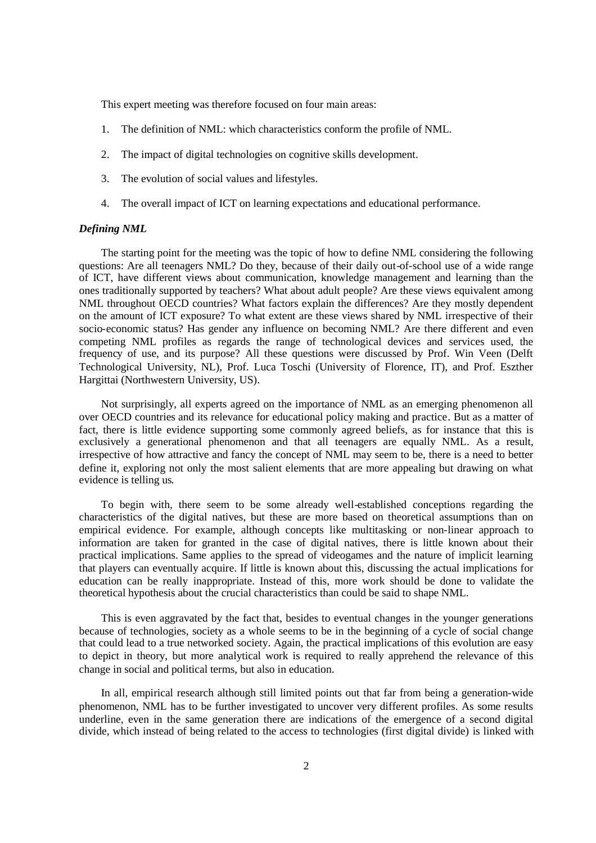This expert meeting was therefore focused on four main areas:

- 1. The definition of NML: which characteristics conform the profile of NML.
- 2. The impact of digital technologies on cognitive skills development.
- 3. The evolution of social values and lifestyles.
- 4. The overall impact of ICT on learning expectations and educational performance.

# *Defining NML*

The starting point for the meeting was the topic of how to define NML considering the following questions: Are all teenagers NML? Do they, because of their daily out-of-school use of a wide range of ICT, have different views about communication, knowledge management and learning than the ones traditionally supported by teachers? What about adult people? Are these views equivalent among NML throughout OECD countries? What factors explain the differences? Are they mostly dependent on the amount of ICT exposure? To what extent are these views shared by NML irrespective of their socio-economic status? Has gender any influence on becoming NML? Are there different and even competing NML profiles as regards the range of technological devices and services used, the frequency of use, and its purpose? All these questions were discussed by Prof. Win Veen (Delft Technological University, NL), Prof. Luca Toschi (University of Florence, IT), and Prof. Eszther Hargittai (Northwestern University, US).

Not surprisingly, all experts agreed on the importance of NML as an emerging phenomenon all over OECD countries and its relevance for educational policy making and practice. But as a matter of fact, there is little evidence supporting some commonly agreed beliefs, as for instance that this is exclusively a generational phenomenon and that all teenagers are equally NML. As a result, irrespective of how attractive and fancy the concept of NML may seem to be, there is a need to better define it, exploring not only the most salient elements that are more appealing but drawing on what evidence is telling us.

To begin with, there seem to be some already well-established conceptions regarding the characteristics of the digital natives, but these are more based on theoretical assumptions than on empirical evidence. For example, although concepts like multitasking or non-linear approach to information are taken for granted in the case of digital natives, there is little known about their practical implications. Same applies to the spread of videogames and the nature of implicit learning that players can eventually acquire. If little is known about this, discussing the actual implications for education can be really inappropriate. Instead of this, more work should be done to validate the theoretical hypothesis about the crucial characteristics than could be said to shape NML.

This is even aggravated by the fact that, besides to eventual changes in the younger generations because of technologies, society as a whole seems to be in the beginning of a cycle of social change that could lead to a true networked society. Again, the practical implications of this evolution are easy to depict in theory, but more analytical work is required to really apprehend the relevance of this change in social and political terms, but also in education.

In all, empirical research although still limited points out that far from being a generation-wide phenomenon, NML has to be further investigated to uncover very different profiles. As some results underline, even in the same generation there are indications of the emergence of a second digital divide, which instead of being related to the access to technologies (first digital divide) is linked with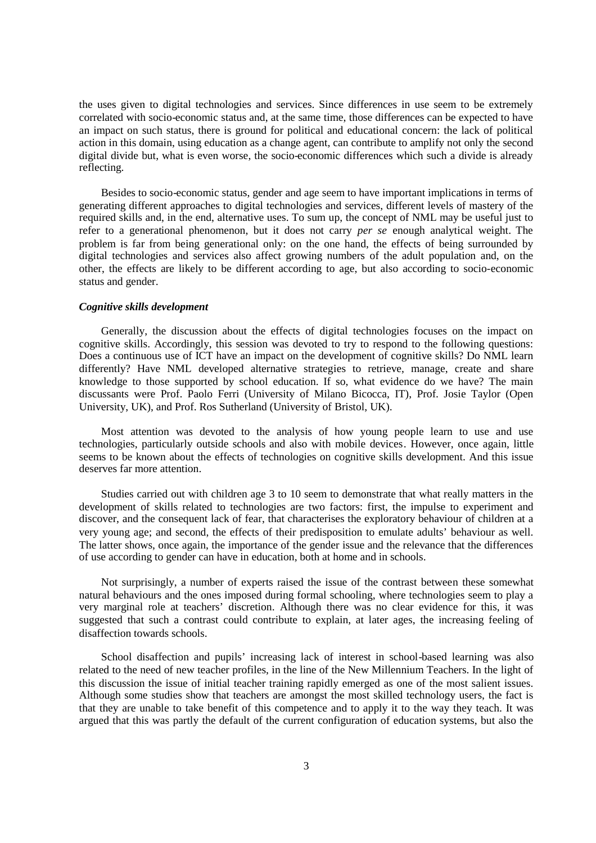the uses given to digital technologies and services. Since differences in use seem to be extremely correlated with socio-economic status and, at the same time, those differences can be expected to have an impact on such status, there is ground for political and educational concern: the lack of political action in this domain, using education as a change agent, can contribute to amplify not only the second digital divide but, what is even worse, the socio-economic differences which such a divide is already reflecting.

Besides to socio-economic status, gender and age seem to have important implications in terms of generating different approaches to digital technologies and services, different levels of mastery of the required skills and, in the end, alternative uses. To sum up, the concept of NML may be useful just to refer to a generational phenomenon, but it does not carry *per se* enough analytical weight. The problem is far from being generational only: on the one hand, the effects of being surrounded by digital technologies and services also affect growing numbers of the adult population and, on the other, the effects are likely to be different according to age, but also according to socio-economic status and gender.

## *Cognitive skills development*

Generally, the discussion about the effects of digital technologies focuses on the impact on cognitive skills. Accordingly, this session was devoted to try to respond to the following questions: Does a continuous use of ICT have an impact on the development of cognitive skills? Do NML learn differently? Have NML developed alternative strategies to retrieve, manage, create and share knowledge to those supported by school education. If so, what evidence do we have? The main discussants were Prof. Paolo Ferri (University of Milano Bicocca, IT), Prof. Josie Taylor (Open University, UK), and Prof. Ros Sutherland (University of Bristol, UK).

Most attention was devoted to the analysis of how young people learn to use and use technologies, particularly outside schools and also with mobile devices. However, once again, little seems to be known about the effects of technologies on cognitive skills development. And this issue deserves far more attention.

Studies carried out with children age 3 to 10 seem to demonstrate that what really matters in the development of skills related to technologies are two factors: first, the impulse to experiment and discover, and the consequent lack of fear, that characterises the exploratory behaviour of children at a very young age; and second, the effects of their predisposition to emulate adults' behaviour as well. The latter shows, once again, the importance of the gender issue and the relevance that the differences of use according to gender can have in education, both at home and in schools.

Not surprisingly, a number of experts raised the issue of the contrast between these somewhat natural behaviours and the ones imposed during formal schooling, where technologies seem to play a very marginal role at teachers' discretion. Although there was no clear evidence for this, it was suggested that such a contrast could contribute to explain, at later ages, the increasing feeling of disaffection towards schools.

School disaffection and pupils' increasing lack of interest in school-based learning was also related to the need of new teacher profiles, in the line of the New Millennium Teachers. In the light of this discussion the issue of initial teacher training rapidly emerged as one of the most salient issues. Although some studies show that teachers are amongst the most skilled technology users, the fact is that they are unable to take benefit of this competence and to apply it to the way they teach. It was argued that this was partly the default of the current configuration of education systems, but also the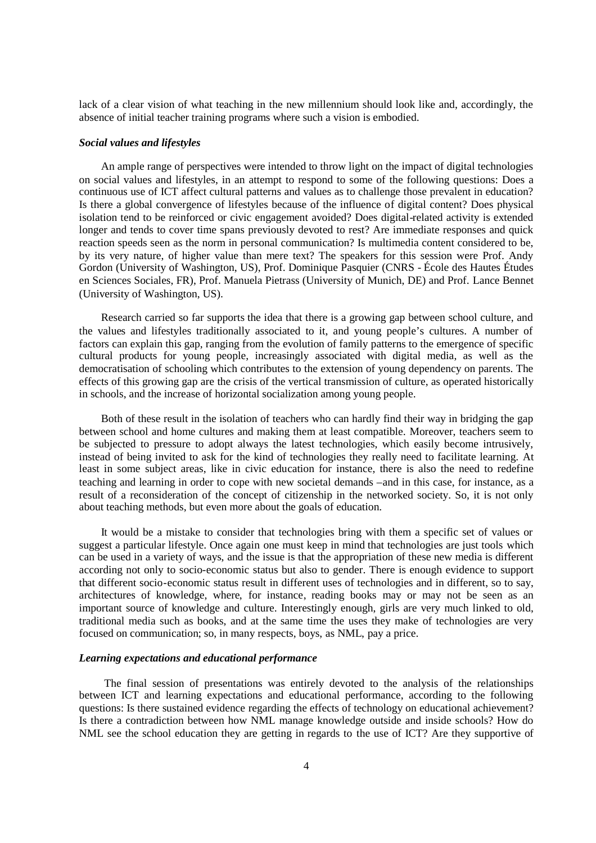lack of a clear vision of what teaching in the new millennium should look like and, accordingly, the absence of initial teacher training programs where such a vision is embodied.

### *Social values and lifestyles*

An ample range of perspectives were intended to throw light on the impact of digital technologies on social values and lifestyles, in an attempt to respond to some of the following questions: Does a continuous use of ICT affect cultural patterns and values as to challenge those prevalent in education? Is there a global convergence of lifestyles because of the influence of digital content? Does physical isolation tend to be reinforced or civic engagement avoided? Does digital-related activity is extended longer and tends to cover time spans previously devoted to rest? Are immediate responses and quick reaction speeds seen as the norm in personal communication? Is multimedia content considered to be, by its very nature, of higher value than mere text? The speakers for this session were Prof. Andy Gordon (University of Washington, US), Prof. Dominique Pasquier (CNRS - École des Hautes Études en Sciences Sociales, FR), Prof. Manuela Pietrass (University of Munich, DE) and Prof. Lance Bennet (University of Washington, US).

Research carried so far supports the idea that there is a growing gap between school culture, and the values and lifestyles traditionally associated to it, and young people's cultures. A number of factors can explain this gap, ranging from the evolution of family patterns to the emergence of specific cultural products for young people, increasingly associated with digital media, as well as the democratisation of schooling which contributes to the extension of young dependency on parents. The effects of this growing gap are the crisis of the vertical transmission of culture, as operated historically in schools, and the increase of horizontal socialization among young people.

Both of these result in the isolation of teachers who can hardly find their way in bridging the gap between school and home cultures and making them at least compatible. Moreover, teachers seem to be subjected to pressure to adopt always the latest technologies, which easily become intrusively, instead of being invited to ask for the kind of technologies they really need to facilitate learning. At least in some subject areas, like in civic education for instance, there is also the need to redefine teaching and learning in order to cope with new societal demands –and in this case, for instance, as a result of a reconsideration of the concept of citizenship in the networked society. So, it is not only about teaching methods, but even more about the goals of education.

It would be a mistake to consider that technologies bring with them a specific set of values or suggest a particular lifestyle. Once again one must keep in mind that technologies are just tools which can be used in a variety of ways, and the issue is that the appropriation of these new media is different according not only to socio-economic status but also to gender. There is enough evidence to support that different socio-economic status result in different uses of technologies and in different, so to say, architectures of knowledge, where, for instance, reading books may or may not be seen as an important source of knowledge and culture. Interestingly enough, girls are very much linked to old, traditional media such as books, and at the same time the uses they make of technologies are very focused on communication; so, in many respects, boys, as NML, pay a price.

### *Learning expectations and educational performance*

The final session of presentations was entirely devoted to the analysis of the relationships between ICT and learning expectations and educational performance, according to the following questions: Is there sustained evidence regarding the effects of technology on educational achievement? Is there a contradiction between how NML manage knowledge outside and inside schools? How do NML see the school education they are getting in regards to the use of ICT? Are they supportive of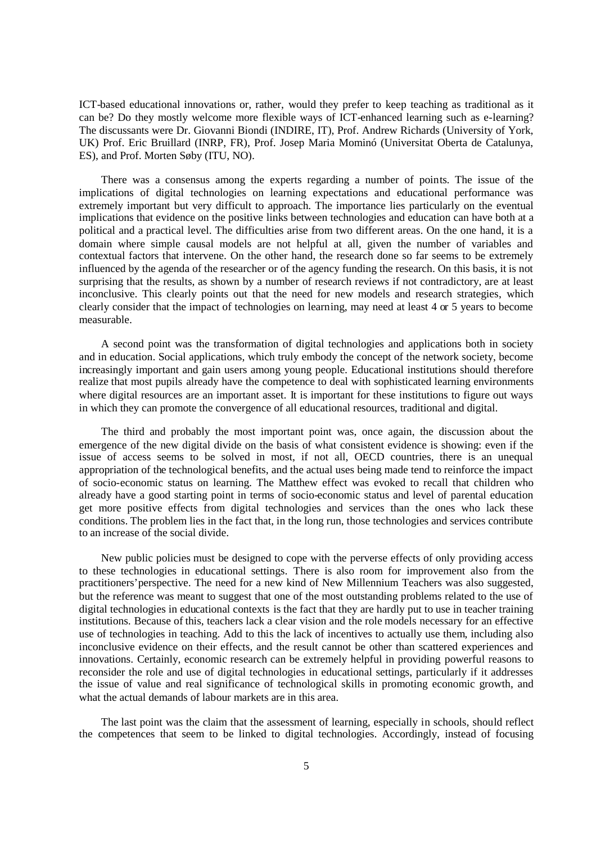ICT-based educational innovations or, rather, would they prefer to keep teaching as traditional as it can be? Do they mostly welcome more flexible ways of ICT-enhanced learning such as e-learning? The discussants were Dr. Giovanni Biondi (INDIRE, IT), Prof. Andrew Richards (University of York, UK) Prof. Eric Bruillard (INRP, FR), Prof. Josep Maria Mominó (Universitat Oberta de Catalunya, ES), and Prof. Morten Søby (ITU, NO).

There was a consensus among the experts regarding a number of points. The issue of the implications of digital technologies on learning expectations and educational performance was extremely important but very difficult to approach. The importance lies particularly on the eventual implications that evidence on the positive links between technologies and education can have both at a political and a practical level. The difficulties arise from two different areas. On the one hand, it is a domain where simple causal models are not helpful at all, given the number of variables and contextual factors that intervene. On the other hand, the research done so far seems to be extremely influenced by the agenda of the researcher or of the agency funding the research. On this basis, it is not surprising that the results, as shown by a number of research reviews if not contradictory, are at least inconclusive. This clearly points out that the need for new models and research strategies, which clearly consider that the impact of technologies on learning, may need at least 4 or 5 years to become measurable.

A second point was the transformation of digital technologies and applications both in society and in education. Social applications, which truly embody the concept of the network society, become increasingly important and gain users among young people. Educational institutions should therefore realize that most pupils already have the competence to deal with sophisticated learning environments where digital resources are an important asset. It is important for these institutions to figure out ways in which they can promote the convergence of all educational resources, traditional and digital.

The third and probably the most important point was, once again, the discussion about the emergence of the new digital divide on the basis of what consistent evidence is showing: even if the issue of access seems to be solved in most, if not all, OECD countries, there is an unequal appropriation of the technological benefits, and the actual uses being made tend to reinforce the impact of socio-economic status on learning. The Matthew effect was evoked to recall that children who already have a good starting point in terms of socio-economic status and level of parental education get more positive effects from digital technologies and services than the ones who lack these conditions. The problem lies in the fact that, in the long run, those technologies and services contribute to an increase of the social divide.

New public policies must be designed to cope with the perverse effects of only providing access to these technologies in educational settings. There is also room for improvement also from the practitioners'perspective. The need for a new kind of New Millennium Teachers was also suggested, but the reference was meant to suggest that one of the most outstanding problems related to the use of digital technologies in educational contexts is the fact that they are hardly put to use in teacher training institutions. Because of this, teachers lack a clear vision and the role models necessary for an effective use of technologies in teaching. Add to this the lack of incentives to actually use them, including also inconclusive evidence on their effects, and the result cannot be other than scattered experiences and innovations. Certainly, economic research can be extremely helpful in providing powerful reasons to reconsider the role and use of digital technologies in educational settings, particularly if it addresses the issue of value and real significance of technological skills in promoting economic growth, and what the actual demands of labour markets are in this area.

The last point was the claim that the assessment of learning, especially in schools, should reflect the competences that seem to be linked to digital technologies. Accordingly, instead of focusing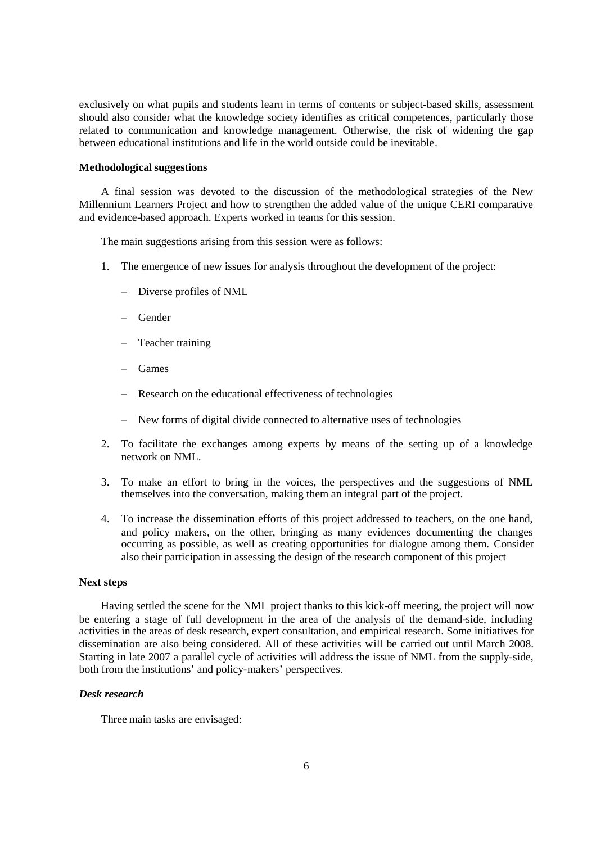exclusively on what pupils and students learn in terms of contents or subject-based skills, assessment should also consider what the knowledge society identifies as critical competences, particularly those related to communication and knowledge management. Otherwise, the risk of widening the gap between educational institutions and life in the world outside could be inevitable.

## **Methodological suggestions**

A final session was devoted to the discussion of the methodological strategies of the New Millennium Learners Project and how to strengthen the added value of the unique CERI comparative and evidence-based approach. Experts worked in teams for this session.

The main suggestions arising from this session were as follows:

- 1. The emergence of new issues for analysis throughout the development of the project:
	- Diverse profiles of NML
	- Gender
	- Teacher training
	- Games
	- Research on the educational effectiveness of technologies
	- New forms of digital divide connected to alternative uses of technologies
- 2. To facilitate the exchanges among experts by means of the setting up of a knowledge network on NML.
- 3. To make an effort to bring in the voices, the perspectives and the suggestions of NML themselves into the conversation, making them an integral part of the project.
- 4. To increase the dissemination efforts of this project addressed to teachers, on the one hand, and policy makers, on the other, bringing as many evidences documenting the changes occurring as possible, as well as creating opportunities for dialogue among them. Consider also their participation in assessing the design of the research component of this project

### **Next steps**

Having settled the scene for the NML project thanks to this kick-off meeting, the project will now be entering a stage of full development in the area of the analysis of the demand-side, including activities in the areas of desk research, expert consultation, and empirical research. Some initiatives for dissemination are also being considered. All of these activities will be carried out until March 2008. Starting in late 2007 a parallel cycle of activities will address the issue of NML from the supply-side. both from the institutions' and policy-makers' perspectives.

## *Desk research*

Three main tasks are envisaged: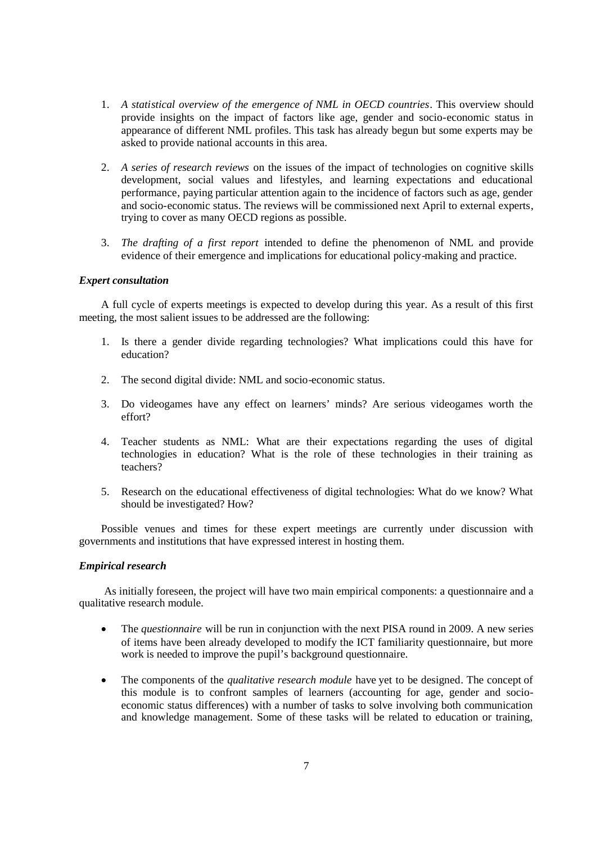- 1. *A statistical overview of the emergence of NML in OECD countries*. This overview should provide insights on the impact of factors like age, gender and socio-economic status in appearance of different NML profiles. This task has already begun but some experts may be asked to provide national accounts in this area.
- 2. *A series of research reviews* on the issues of the impact of technologies on cognitive skills development, social values and lifestyles, and learning expectations and educational performance, paying particular attention again to the incidence of factors such as age, gender and socio-economic status. The reviews will be commissioned next April to external experts, trying to cover as many OECD regions as possible.
- 3. *The drafting of a first report* intended to define the phenomenon of NML and provide evidence of their emergence and implications for educational policy-making and practice.

## *Expert consultation*

A full cycle of experts meetings is expected to develop during this year. As a result of this first meeting, the most salient issues to be addressed are the following:

- 1. Is there a gender divide regarding technologies? What implications could this have for education?
- 2. The second digital divide: NML and socio-economic status.
- 3. Do videogames have any effect on learners' minds? Are serious videogames worth the effort?
- 4. Teacher students as NML: What are their expectations regarding the uses of digital technologies in education? What is the role of these technologies in their training as teachers?
- 5. Research on the educational effectiveness of digital technologies: What do we know? What should be investigated? How?

Possible venues and times for these expert meetings are currently under discussion with governments and institutions that have expressed interest in hosting them.

# *Empirical research*

As initially foreseen, the project will have two main empirical components: a questionnaire and a qualitative research module.

- The *questionnaire* will be run in conjunction with the next PISA round in 2009. A new series of items have been already developed to modify the ICT familiarity questionnaire, but more work is needed to improve the pupil's background questionnaire.
- The components of the *qualitative research module* have yet to be designed. The concept of this module is to confront samples of learners (accounting for age, gender and socioeconomic status differences) with a number of tasks to solve involving both communication and knowledge management. Some of these tasks will be related to education or training,